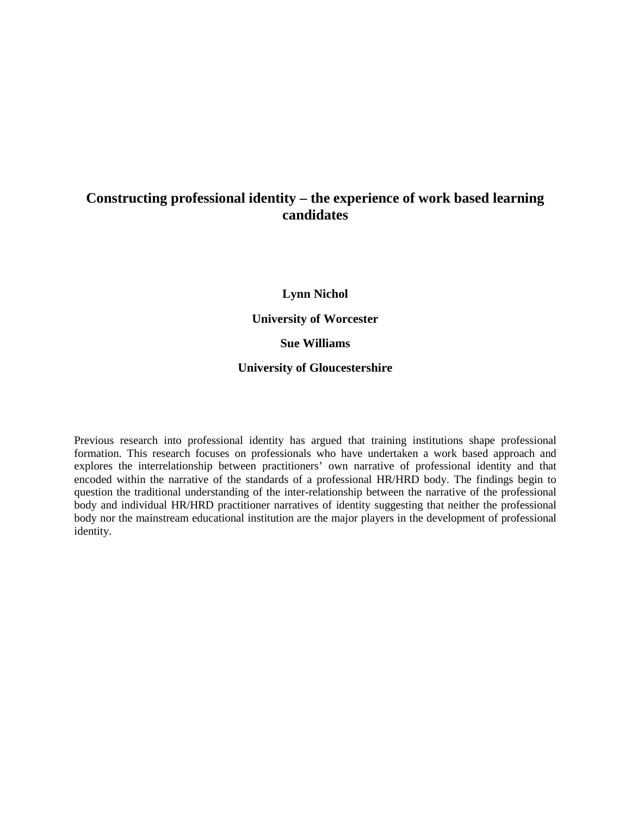# **Constructing professional identity – the experience of work based learning candidates**

**Lynn Nichol**

**University of Worcester**

**Sue Williams**

## **University of Gloucestershire**

Previous research into professional identity has argued that training institutions shape professional formation. This research focuses on professionals who have undertaken a work based approach and explores the interrelationship between practitioners' own narrative of professional identity and that encoded within the narrative of the standards of a professional HR/HRD body. The findings begin to question the traditional understanding of the inter-relationship between the narrative of the professional body and individual HR/HRD practitioner narratives of identity suggesting that neither the professional body nor the mainstream educational institution are the major players in the development of professional identity.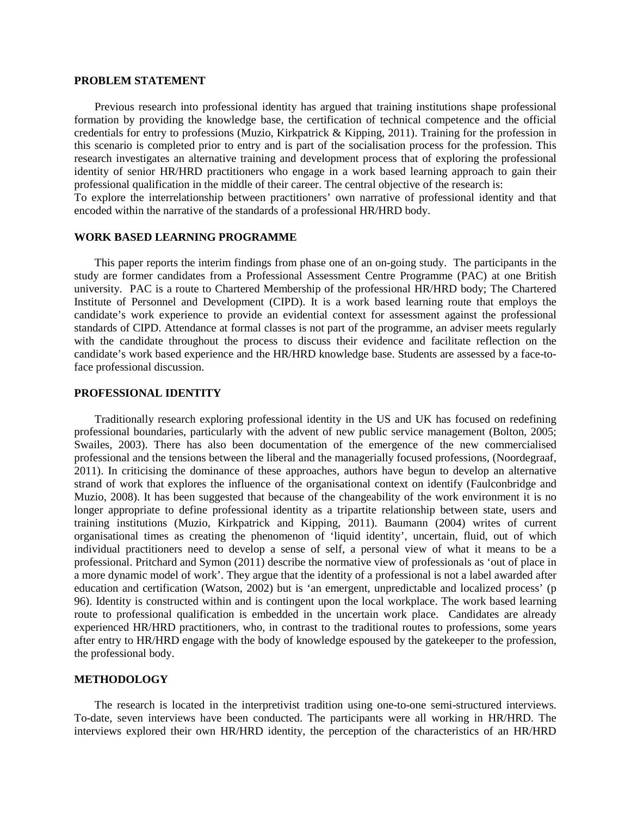#### **PROBLEM STATEMENT**

Previous research into professional identity has argued that training institutions shape professional formation by providing the knowledge base, the certification of technical competence and the official credentials for entry to professions (Muzio, Kirkpatrick & Kipping, 2011). Training for the profession in this scenario is completed prior to entry and is part of the socialisation process for the profession. This research investigates an alternative training and development process that of exploring the professional identity of senior HR/HRD practitioners who engage in a work based learning approach to gain their professional qualification in the middle of their career. The central objective of the research is:

To explore the interrelationship between practitioners' own narrative of professional identity and that encoded within the narrative of the standards of a professional HR/HRD body.

## **WORK BASED LEARNING PROGRAMME**

This paper reports the interim findings from phase one of an on-going study. The participants in the study are former candidates from a Professional Assessment Centre Programme (PAC) at one British university. PAC is a route to Chartered Membership of the professional HR/HRD body; The Chartered Institute of Personnel and Development (CIPD). It is a work based learning route that employs the candidate's work experience to provide an evidential context for assessment against the professional standards of CIPD. Attendance at formal classes is not part of the programme, an adviser meets regularly with the candidate throughout the process to discuss their evidence and facilitate reflection on the candidate's work based experience and the HR/HRD knowledge base. Students are assessed by a face-toface professional discussion.

## **PROFESSIONAL IDENTITY**

Traditionally research exploring professional identity in the US and UK has focused on redefining professional boundaries, particularly with the advent of new public service management (Bolton, 2005; Swailes, 2003). There has also been documentation of the emergence of the new commercialised professional and the tensions between the liberal and the managerially focused professions, (Noordegraaf, 2011). In criticising the dominance of these approaches, authors have begun to develop an alternative strand of work that explores the influence of the organisational context on identify (Faulconbridge and Muzio, 2008). It has been suggested that because of the changeability of the work environment it is no longer appropriate to define professional identity as a tripartite relationship between state, users and training institutions (Muzio, Kirkpatrick and Kipping, 2011). Baumann (2004) writes of current organisational times as creating the phenomenon of 'liquid identity', uncertain, fluid, out of which individual practitioners need to develop a sense of self, a personal view of what it means to be a professional. Pritchard and Symon (2011) describe the normative view of professionals as 'out of place in a more dynamic model of work'. They argue that the identity of a professional is not a label awarded after education and certification (Watson, 2002) but is 'an emergent, unpredictable and localized process' (p 96). Identity is constructed within and is contingent upon the local workplace. The work based learning route to professional qualification is embedded in the uncertain work place. Candidates are already experienced HR/HRD practitioners, who, in contrast to the traditional routes to professions, some years after entry to HR/HRD engage with the body of knowledge espoused by the gatekeeper to the profession, the professional body.

### **METHODOLOGY**

The research is located in the interpretivist tradition using one-to-one semi-structured interviews. To-date, seven interviews have been conducted. The participants were all working in HR/HRD. The interviews explored their own HR/HRD identity, the perception of the characteristics of an HR/HRD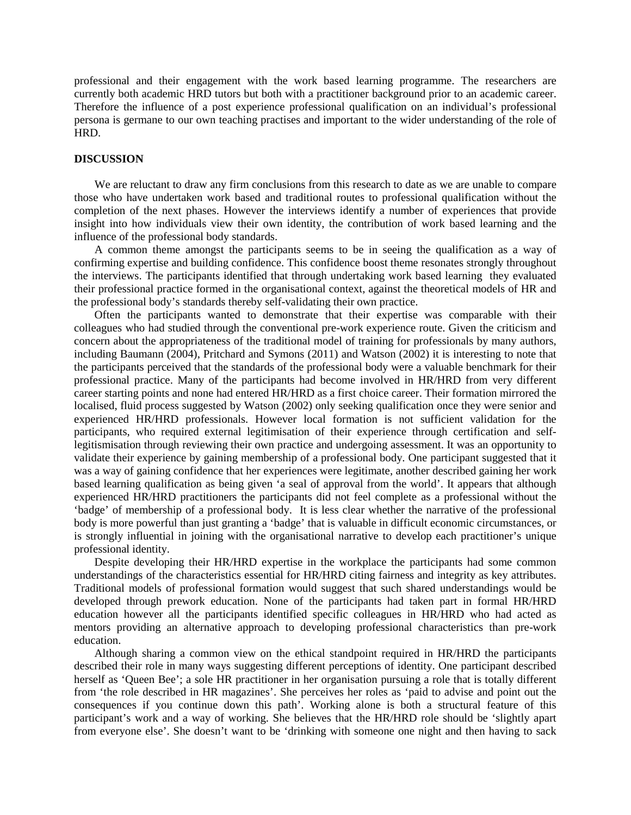professional and their engagement with the work based learning programme. The researchers are currently both academic HRD tutors but both with a practitioner background prior to an academic career. Therefore the influence of a post experience professional qualification on an individual's professional persona is germane to our own teaching practises and important to the wider understanding of the role of HRD.

#### **DISCUSSION**

We are reluctant to draw any firm conclusions from this research to date as we are unable to compare those who have undertaken work based and traditional routes to professional qualification without the completion of the next phases. However the interviews identify a number of experiences that provide insight into how individuals view their own identity, the contribution of work based learning and the influence of the professional body standards.

A common theme amongst the participants seems to be in seeing the qualification as a way of confirming expertise and building confidence. This confidence boost theme resonates strongly throughout the interviews. The participants identified that through undertaking work based learning they evaluated their professional practice formed in the organisational context, against the theoretical models of HR and the professional body's standards thereby self-validating their own practice.

Often the participants wanted to demonstrate that their expertise was comparable with their colleagues who had studied through the conventional pre-work experience route. Given the criticism and concern about the appropriateness of the traditional model of training for professionals by many authors, including Baumann (2004), Pritchard and Symons (2011) and Watson (2002) it is interesting to note that the participants perceived that the standards of the professional body were a valuable benchmark for their professional practice. Many of the participants had become involved in HR/HRD from very different career starting points and none had entered HR/HRD as a first choice career. Their formation mirrored the localised, fluid process suggested by Watson (2002) only seeking qualification once they were senior and experienced HR/HRD professionals. However local formation is not sufficient validation for the participants, who required external legitimisation of their experience through certification and selflegitismisation through reviewing their own practice and undergoing assessment. It was an opportunity to validate their experience by gaining membership of a professional body. One participant suggested that it was a way of gaining confidence that her experiences were legitimate, another described gaining her work based learning qualification as being given 'a seal of approval from the world'. It appears that although experienced HR/HRD practitioners the participants did not feel complete as a professional without the 'badge' of membership of a professional body. It is less clear whether the narrative of the professional body is more powerful than just granting a 'badge' that is valuable in difficult economic circumstances, or is strongly influential in joining with the organisational narrative to develop each practitioner's unique professional identity.

Despite developing their HR/HRD expertise in the workplace the participants had some common understandings of the characteristics essential for HR/HRD citing fairness and integrity as key attributes. Traditional models of professional formation would suggest that such shared understandings would be developed through prework education. None of the participants had taken part in formal HR/HRD education however all the participants identified specific colleagues in HR/HRD who had acted as mentors providing an alternative approach to developing professional characteristics than pre-work education.

Although sharing a common view on the ethical standpoint required in HR/HRD the participants described their role in many ways suggesting different perceptions of identity. One participant described herself as 'Queen Bee'; a sole HR practitioner in her organisation pursuing a role that is totally different from 'the role described in HR magazines'. She perceives her roles as 'paid to advise and point out the consequences if you continue down this path'. Working alone is both a structural feature of this participant's work and a way of working. She believes that the HR/HRD role should be 'slightly apart from everyone else'. She doesn't want to be 'drinking with someone one night and then having to sack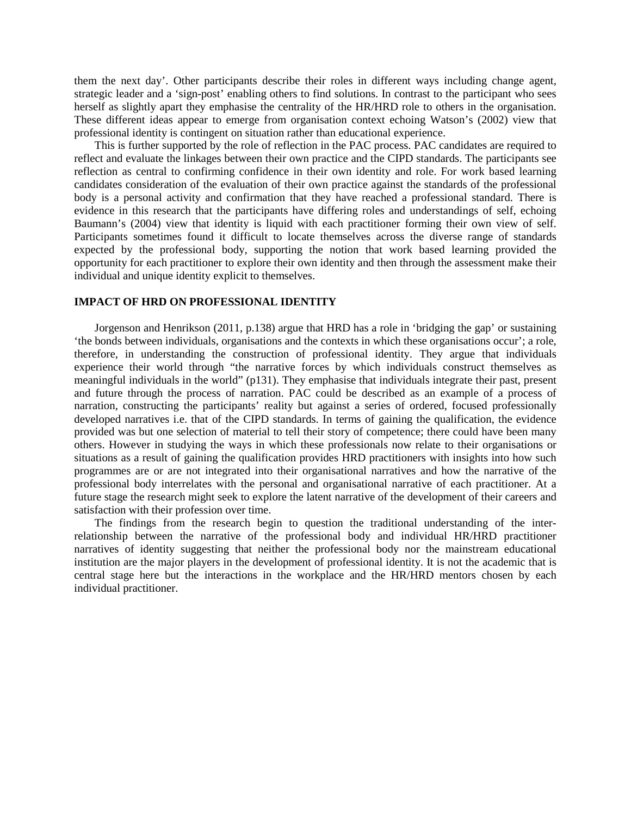them the next day'. Other participants describe their roles in different ways including change agent, strategic leader and a 'sign-post' enabling others to find solutions. In contrast to the participant who sees herself as slightly apart they emphasise the centrality of the HR/HRD role to others in the organisation. These different ideas appear to emerge from organisation context echoing Watson's (2002) view that professional identity is contingent on situation rather than educational experience.

This is further supported by the role of reflection in the PAC process. PAC candidates are required to reflect and evaluate the linkages between their own practice and the CIPD standards. The participants see reflection as central to confirming confidence in their own identity and role. For work based learning candidates consideration of the evaluation of their own practice against the standards of the professional body is a personal activity and confirmation that they have reached a professional standard. There is evidence in this research that the participants have differing roles and understandings of self, echoing Baumann's (2004) view that identity is liquid with each practitioner forming their own view of self. Participants sometimes found it difficult to locate themselves across the diverse range of standards expected by the professional body, supporting the notion that work based learning provided the opportunity for each practitioner to explore their own identity and then through the assessment make their individual and unique identity explicit to themselves.

### **IMPACT OF HRD ON PROFESSIONAL IDENTITY**

Jorgenson and Henrikson (2011, p.138) argue that HRD has a role in 'bridging the gap' or sustaining 'the bonds between individuals, organisations and the contexts in which these organisations occur'; a role, therefore, in understanding the construction of professional identity. They argue that individuals experience their world through "the narrative forces by which individuals construct themselves as meaningful individuals in the world" (p131). They emphasise that individuals integrate their past, present and future through the process of narration. PAC could be described as an example of a process of narration, constructing the participants' reality but against a series of ordered, focused professionally developed narratives i.e. that of the CIPD standards. In terms of gaining the qualification, the evidence provided was but one selection of material to tell their story of competence; there could have been many others. However in studying the ways in which these professionals now relate to their organisations or situations as a result of gaining the qualification provides HRD practitioners with insights into how such programmes are or are not integrated into their organisational narratives and how the narrative of the professional body interrelates with the personal and organisational narrative of each practitioner. At a future stage the research might seek to explore the latent narrative of the development of their careers and satisfaction with their profession over time.

The findings from the research begin to question the traditional understanding of the interrelationship between the narrative of the professional body and individual HR/HRD practitioner narratives of identity suggesting that neither the professional body nor the mainstream educational institution are the major players in the development of professional identity. It is not the academic that is central stage here but the interactions in the workplace and the HR/HRD mentors chosen by each individual practitioner.